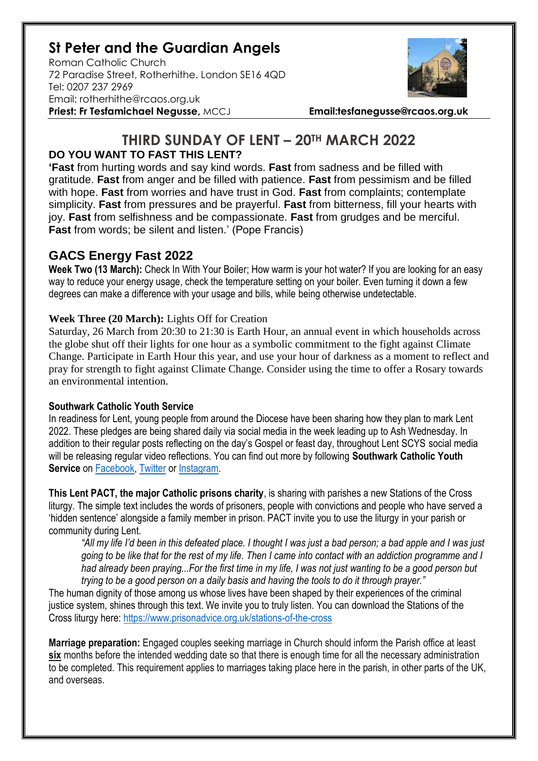# **St Peter and the Guardian Angels**

Roman Catholic Church 72 Paradise Street, Rotherhithe. London SE16 4QD [Tel: 0207](tel:0207) 237 2969 Email: rotherhithe@rcaos.org.uk **Priest: Fr Tesfamichael Negusse,** MCCJ **Email:tesfanegusse@rcaos.org.uk**



## **THIRD SUNDAY OF LENT – 20TH MARCH 2022 DO YOU WANT TO FAST THIS LENT?**

**'Fast** from hurting words and say kind words. **Fast** from sadness and be filled with gratitude. **Fast** from anger and be filled with patience. **Fast** from pessimism and be filled with hope. **Fast** from worries and have trust in God. **Fast** from complaints; contemplate simplicity. **Fast** from pressures and be prayerful. **Fast** from bitterness, fill your hearts with joy. **Fast** from selfishness and be compassionate. **Fast** from grudges and be merciful. **Fast** from words; be silent and listen.' (Pope Francis)

## **GACS Energy Fast 2022**

**Week Two (13 March):** Check In With Your Boiler; How warm is your hot water? If you are looking for an easy way to reduce your energy usage, check the temperature setting on your boiler. Even turning it down a few degrees can make a difference with your usage and bills, while being otherwise undetectable.

#### **Week Three (20 March):** Lights Off for Creation

Saturday, 26 March from 20:30 to 21:30 is Earth Hour, an annual event in which households across the globe shut off their lights for one hour as a symbolic commitment to the fight against Climate Change. Participate in Earth Hour this year, and use your hour of darkness as a moment to reflect and pray for strength to fight against Climate Change. Consider using the time to offer a Rosary towards an environmental intention.

#### **Southwark Catholic Youth Service**

In readiness for Lent, young people from around the Diocese have been sharing how they plan to mark Lent 2022. These pledges are being shared daily via social media in the week leading up to Ash Wednesday. In addition to their regular posts reflecting on the day's Gospel or feast day, throughout Lent SCYS social media will be releasing regular video reflections. You can find out more by following **Southwark Catholic Youth Service** on [Facebook,](https://www.facebook.com/scys.uk) [Twitter](https://twitter.com/SCYS1) or [Instagram.](https://www.instagram.com/scys1/)

**This Lent PACT, the major Catholic prisons charity**, is sharing with parishes a new Stations of the Cross liturgy. The simple text includes the words of prisoners, people with convictions and people who have served a 'hidden sentence' alongside a family member in prison. PACT invite you to use the liturgy in your parish or community during Lent.

*"All my life I'd been in this defeated place. I thought I was just a bad person; a bad apple and I was just going to be like that for the rest of my life. Then I came into contact with an addiction programme and I had already been praying...For the first time in my life, I was not just wanting to be a good person but trying to be a good person on a daily basis and having the tools to do it through prayer."*

The human dignity of those among us whose lives have been shaped by their experiences of the criminal justice system, shines through this text. We invite you to truly listen. You can download the Stations of the Cross liturgy here:<https://www.prisonadvice.org.uk/stations-of-the-cross>

**Marriage preparation:** Engaged couples seeking marriage in Church should inform the Parish office at least **six** months before the intended wedding date so that there is enough time for all the necessary administration to be completed. This requirement applies to marriages taking place here in the parish, in other parts of the UK, and overseas.